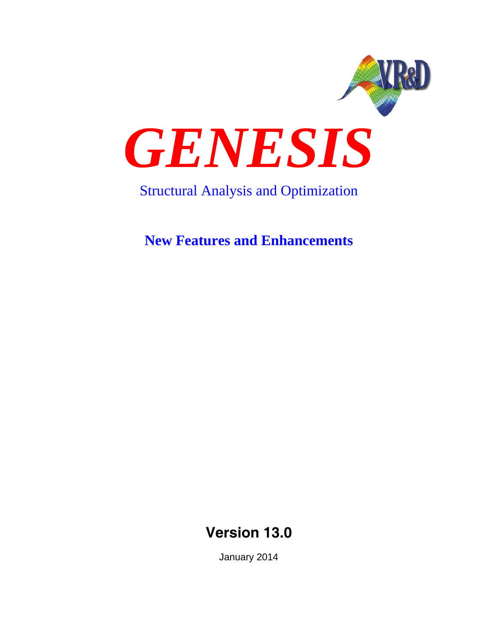

# Structural Analysis and Optimization

**New Features and Enhancements**

**Version 13.0**

January 2014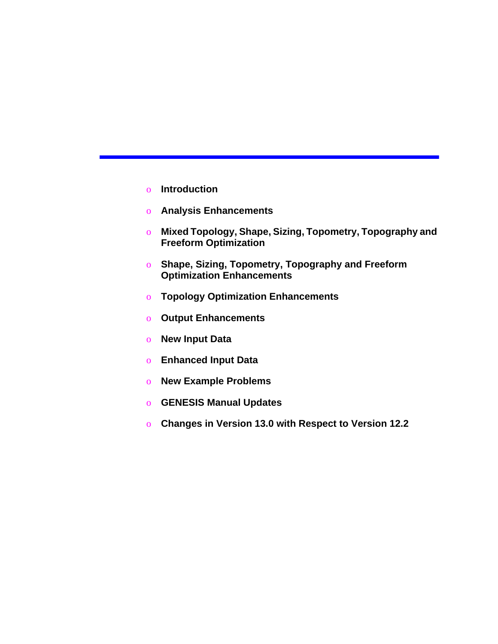- o **Introduction**
- o **Analysis Enhancements**
- o **Mixed Topology, Shape, Sizing, Topometry, Topography and Freeform Optimization**
- o **Shape, Sizing, Topometry, Topography and Freeform Optimization Enhancements**
- o **Topology Optimization Enhancements**
- o **Output Enhancements**
- o **New Input Data**
- o **Enhanced Input Data**
- o **New Example Problems**
- o **GENESIS Manual Updates**
- o **Changes in Version 13.0 with Respect to Version 12.2**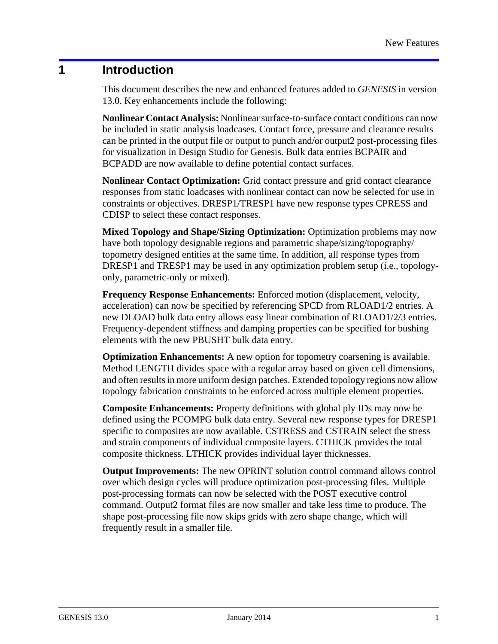### **1 Introduction**

This document describes the new and enhanced features added to *GENESIS* in version 13.0. Key enhancements include the following:

**Nonlinear Contact Analysis:** Nonlinear surface-to-surface contact conditions can now be included in static analysis loadcases. Contact force, pressure and clearance results can be printed in the output file or output to punch and/or output2 post-processing files for visualization in Design Studio for Genesis. Bulk data entries BCPAIR and BCPADD are now available to define potential contact surfaces.

**Nonlinear Contact Optimization:** Grid contact pressure and grid contact clearance responses from static loadcases with nonlinear contact can now be selected for use in constraints or objectives. DRESP1/TRESP1 have new response types CPRESS and CDISP to select these contact responses.

**Mixed Topology and Shape/Sizing Optimization:** Optimization problems may now have both topology designable regions and parametric shape/sizing/topography/ topometry designed entities at the same time. In addition, all response types from DRESP1 and TRESP1 may be used in any optimization problem setup (i.e., topologyonly, parametric-only or mixed).

**Frequency Response Enhancements:** Enforced motion (displacement, velocity, acceleration) can now be specified by referencing SPCD from RLOAD1/2 entries. A new DLOAD bulk data entry allows easy linear combination of RLOAD1/2/3 entries. Frequency-dependent stiffness and damping properties can be specified for bushing elements with the new PBUSHT bulk data entry.

**Optimization Enhancements:** A new option for topometry coarsening is available. Method LENGTH divides space with a regular array based on given cell dimensions, and often results in more uniform design patches. Extended topology regions now allow topology fabrication constraints to be enforced across multiple element properties.

**Composite Enhancements:** Property definitions with global ply IDs may now be defined using the PCOMPG bulk data entry. Several new response types for DRESP1 specific to composites are now available. CSTRESS and CSTRAIN select the stress and strain components of individual composite layers. CTHICK provides the total composite thickness. LTHICK provides individual layer thicknesses.

**Output Improvements:** The new OPRINT solution control command allows control over which design cycles will produce optimization post-processing files. Multiple post-processing formats can now be selected with the POST executive control command. Output2 format files are now smaller and take less time to produce. The shape post-processing file now skips grids with zero shape change, which will frequently result in a smaller file.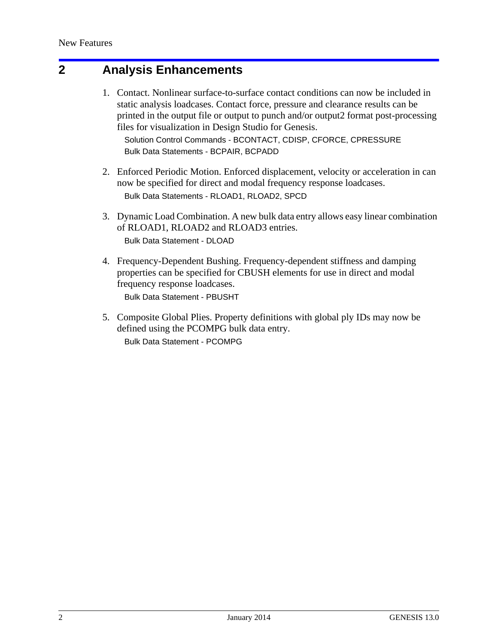### **2 Analysis Enhancements**

1. Contact. Nonlinear surface-to-surface contact conditions can now be included in static analysis loadcases. Contact force, pressure and clearance results can be printed in the output file or output to punch and/or output2 format post-processing files for visualization in Design Studio for Genesis.

Solution Control Commands - BCONTACT, CDISP, CFORCE, CPRESSURE Bulk Data Statements - BCPAIR, BCPADD

- 2. Enforced Periodic Motion. Enforced displacement, velocity or acceleration in can now be specified for direct and modal frequency response loadcases. Bulk Data Statements - RLOAD1, RLOAD2, SPCD
- 3. Dynamic Load Combination. A new bulk data entry allows easy linear combination of RLOAD1, RLOAD2 and RLOAD3 entries. Bulk Data Statement - DLOAD
- 4. Frequency-Dependent Bushing. Frequency-dependent stiffness and damping properties can be specified for CBUSH elements for use in direct and modal frequency response loadcases. Bulk Data Statement - PBUSHT
- 5. Composite Global Plies. Property definitions with global ply IDs may now be defined using the PCOMPG bulk data entry. Bulk Data Statement - PCOMPG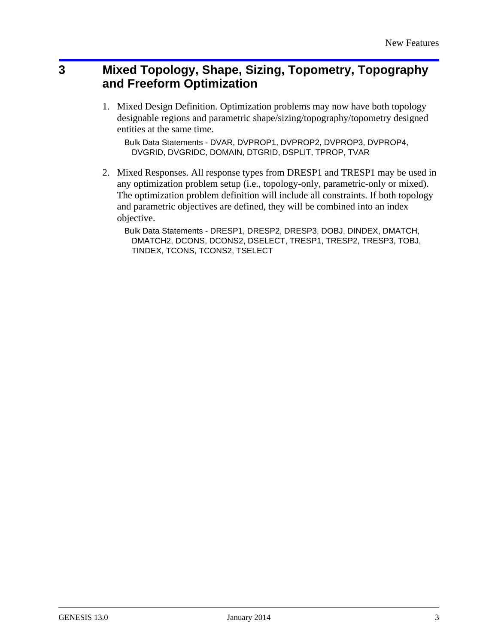## **3 Mixed Topology, Shape, Sizing, Topometry, Topography and Freeform Optimization**

1. Mixed Design Definition. Optimization problems may now have both topology designable regions and parametric shape/sizing/topography/topometry designed entities at the same time.

Bulk Data Statements - DVAR, DVPROP1, DVPROP2, DVPROP3, DVPROP4, DVGRID, DVGRIDC, DOMAIN, DTGRID, DSPLIT, TPROP, TVAR

2. Mixed Responses. All response types from DRESP1 and TRESP1 may be used in any optimization problem setup (i.e., topology-only, parametric-only or mixed). The optimization problem definition will include all constraints. If both topology and parametric objectives are defined, they will be combined into an index objective.

Bulk Data Statements - DRESP1, DRESP2, DRESP3, DOBJ, DINDEX, DMATCH, DMATCH2, DCONS, DCONS2, DSELECT, TRESP1, TRESP2, TRESP3, TOBJ, TINDEX, TCONS, TCONS2, TSELECT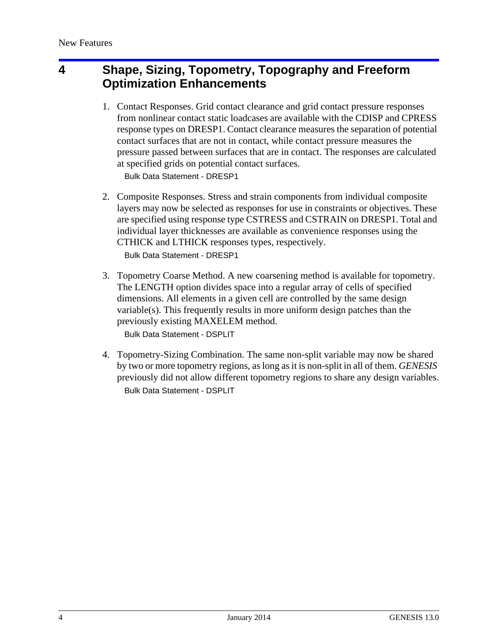## **4 Shape, Sizing, Topometry, Topography and Freeform Optimization Enhancements**

1. Contact Responses. Grid contact clearance and grid contact pressure responses from nonlinear contact static loadcases are available with the CDISP and CPRESS response types on DRESP1. Contact clearance measures the separation of potential contact surfaces that are not in contact, while contact pressure measures the pressure passed between surfaces that are in contact. The responses are calculated at specified grids on potential contact surfaces.

Bulk Data Statement - DRESP1

- 2. Composite Responses. Stress and strain components from individual composite layers may now be selected as responses for use in constraints or objectives. These are specified using response type CSTRESS and CSTRAIN on DRESP1. Total and individual layer thicknesses are available as convenience responses using the CTHICK and LTHICK responses types, respectively. Bulk Data Statement - DRESP1
- 3. Topometry Coarse Method. A new coarsening method is available for topometry. The LENGTH option divides space into a regular array of cells of specified dimensions. All elements in a given cell are controlled by the same design variable(s). This frequently results in more uniform design patches than the previously existing MAXELEM method. Bulk Data Statement - DSPLIT
- 4. Topometry-Sizing Combination. The same non-split variable may now be shared by two or more topometry regions, as long as it is non-split in all of them. *GENESIS* previously did not allow different topometry regions to share any design variables. Bulk Data Statement - DSPLIT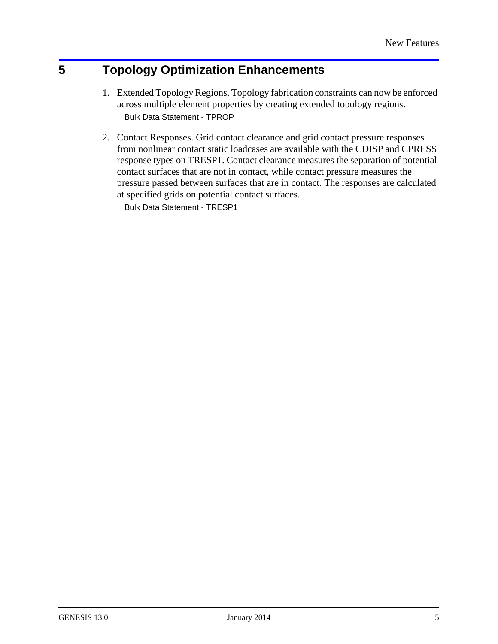## **5 Topology Optimization Enhancements**

- 1. Extended Topology Regions. Topology fabrication constraints can now be enforced across multiple element properties by creating extended topology regions. Bulk Data Statement - TPROP
- 2. Contact Responses. Grid contact clearance and grid contact pressure responses from nonlinear contact static loadcases are available with the CDISP and CPRESS response types on TRESP1. Contact clearance measures the separation of potential contact surfaces that are not in contact, while contact pressure measures the pressure passed between surfaces that are in contact. The responses are calculated at specified grids on potential contact surfaces.

Bulk Data Statement - TRESP1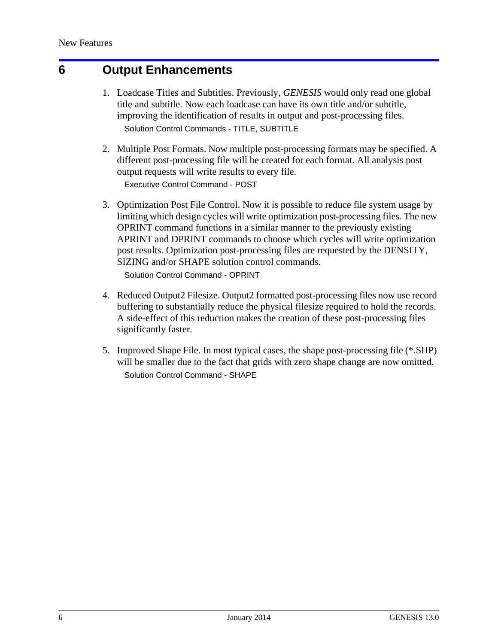### **6 Output Enhancements**

- 1. Loadcase Titles and Subtitles. Previously, *GENESIS* would only read one global title and subtitle. Now each loadcase can have its own title and/or subtitle, improving the identification of results in output and post-processing files. Solution Control Commands - TITLE, SUBTITLE
- 2. Multiple Post Formats. Now multiple post-processing formats may be specified. A different post-processing file will be created for each format. All analysis post output requests will write results to every file. Executive Control Command - POST
- 3. Optimization Post File Control. Now it is possible to reduce file system usage by limiting which design cycles will write optimization post-processing files. The new OPRINT command functions in a similar manner to the previously existing APRINT and DPRINT commands to choose which cycles will write optimization post results. Optimization post-processing files are requested by the DENSITY, SIZING and/or SHAPE solution control commands.

Solution Control Command - OPRINT

- 4. Reduced Output2 Filesize. Output2 formatted post-processing files now use record buffering to substantially reduce the physical filesize required to hold the records. A side-effect of this reduction makes the creation of these post-processing files significantly faster.
- 5. Improved Shape File. In most typical cases, the shape post-processing file (\*.SHP) will be smaller due to the fact that grids with zero shape change are now omitted. Solution Control Command - SHAPE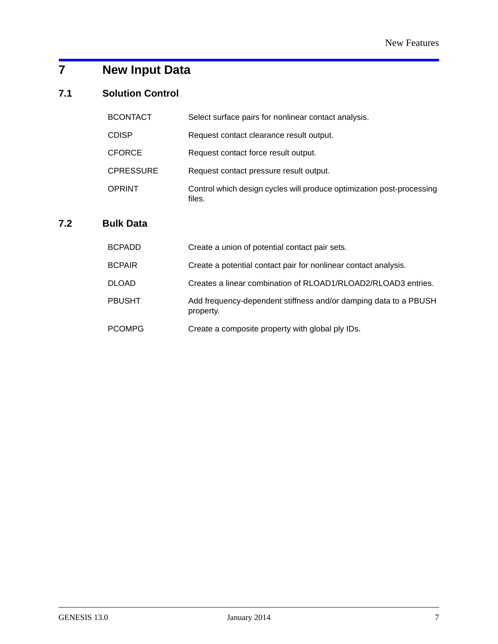# **7 New Input Data**

### **7.1 Solution Control**

| <b>BCONTACT</b>  | Select surface pairs for nonlinear contact analysis.                            |
|------------------|---------------------------------------------------------------------------------|
| <b>CDISP</b>     | Request contact clearance result output.                                        |
| <b>CFORCE</b>    | Request contact force result output.                                            |
| <b>CPRESSURE</b> | Request contact pressure result output.                                         |
| <b>OPRINT</b>    | Control which design cycles will produce optimization post-processing<br>files. |

#### **7.2 Bulk Data**

| BCPADD | Create a union of potential contact pair sets.                                |
|--------|-------------------------------------------------------------------------------|
| BCPAIR | Create a potential contact pair for nonlinear contact analysis.               |
| DLOAD  | Creates a linear combination of RLOAD1/RLOAD2/RLOAD3 entries.                 |
| PBUSHT | Add frequency-dependent stiffness and/or damping data to a PBUSH<br>property. |
| PCOMPG | Create a composite property with global ply IDs.                              |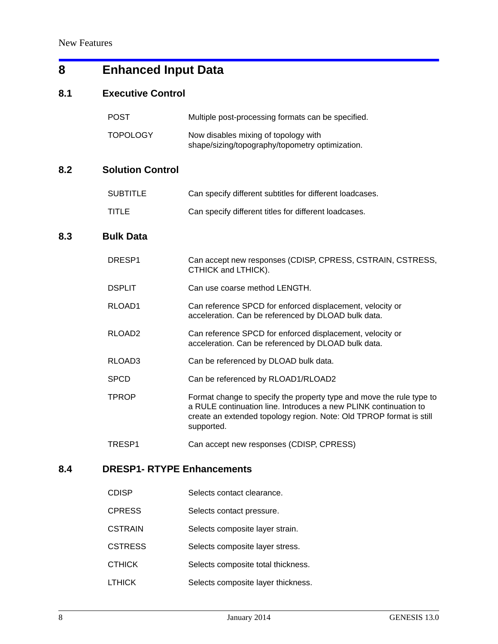# **8 Enhanced Input Data**

#### **8.1 Executive Control**

|     | <b>POST</b>             | Multiple post-processing formats can be specified.                                                                                                                                                                            |
|-----|-------------------------|-------------------------------------------------------------------------------------------------------------------------------------------------------------------------------------------------------------------------------|
|     | <b>TOPOLOGY</b>         | Now disables mixing of topology with<br>shape/sizing/topography/topometry optimization.                                                                                                                                       |
| 8.2 | <b>Solution Control</b> |                                                                                                                                                                                                                               |
|     | <b>SUBTITLE</b>         | Can specify different subtitles for different loadcases.                                                                                                                                                                      |
|     | <b>TITLE</b>            | Can specify different titles for different loadcases.                                                                                                                                                                         |
| 8.3 | <b>Bulk Data</b>        |                                                                                                                                                                                                                               |
|     | DRESP1                  | Can accept new responses (CDISP, CPRESS, CSTRAIN, CSTRESS,<br>CTHICK and LTHICK).                                                                                                                                             |
|     | <b>DSPLIT</b>           | Can use coarse method LENGTH.                                                                                                                                                                                                 |
|     | RLOAD1                  | Can reference SPCD for enforced displacement, velocity or<br>acceleration. Can be referenced by DLOAD bulk data.                                                                                                              |
|     | RLOAD <sub>2</sub>      | Can reference SPCD for enforced displacement, velocity or<br>acceleration. Can be referenced by DLOAD bulk data.                                                                                                              |
|     | RLOAD3                  | Can be referenced by DLOAD bulk data.                                                                                                                                                                                         |
|     | <b>SPCD</b>             | Can be referenced by RLOAD1/RLOAD2                                                                                                                                                                                            |
|     | <b>TPROP</b>            | Format change to specify the property type and move the rule type to<br>a RULE continuation line. Introduces a new PLINK continuation to<br>create an extended topology region. Note: Old TPROP format is still<br>supported. |
|     | TRESP1                  | Can accept new responses (CDISP, CPRESS)                                                                                                                                                                                      |

### **8.4 DRESP1- RTYPE Enhancements**

| <b>CDISP</b>   | Selects contact clearance.         |
|----------------|------------------------------------|
| <b>CPRESS</b>  | Selects contact pressure.          |
| <b>CSTRAIN</b> | Selects composite layer strain.    |
| <b>CSTRESS</b> | Selects composite layer stress.    |
| <b>CTHICK</b>  | Selects composite total thickness. |
| <b>LTHICK</b>  | Selects composite layer thickness. |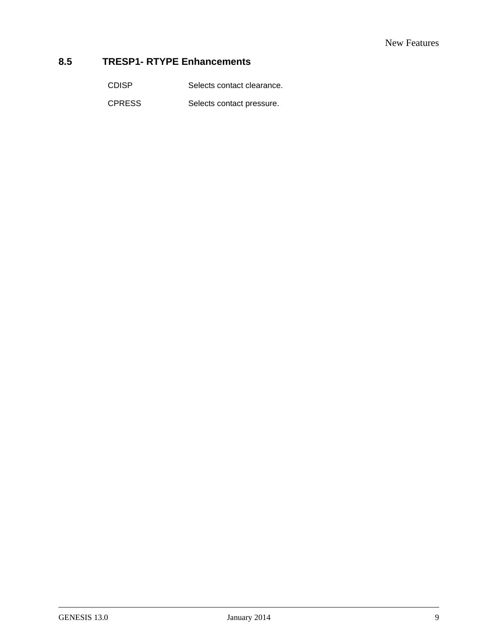#### **8.5 TRESP1- RTYPE Enhancements**

CDISP Selects contact clearance.

CPRESS Selects contact pressure.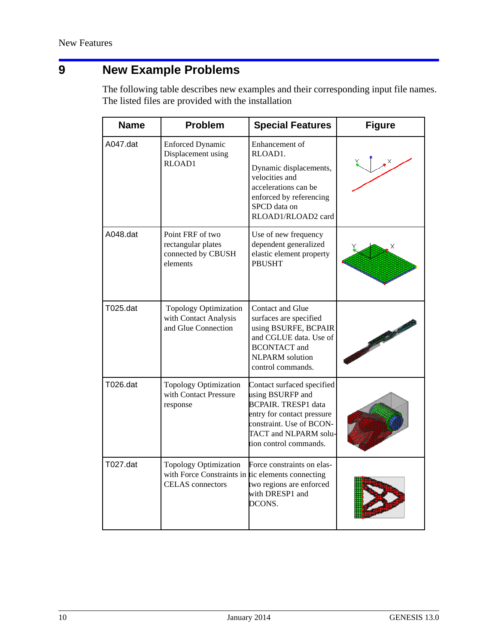# **9 New Example Problems**

The following table describes new examples and their corresponding input file names. The listed files are provided with the installation

| <b>Name</b> | <b>Problem</b>                                                                                               | <b>Special Features</b>                                                                                                                                                                   | <b>Figure</b> |
|-------------|--------------------------------------------------------------------------------------------------------------|-------------------------------------------------------------------------------------------------------------------------------------------------------------------------------------------|---------------|
| A047.dat    | <b>Enforced Dynamic</b><br>Displacement using<br>RLOAD1                                                      | Enhancement of<br>RLOAD1.<br>Dynamic displacements,<br>velocities and<br>accelerations can be<br>enforced by referencing<br>SPCD data on<br>RLOAD1/RLOAD2 card                            |               |
| A048.dat    | Point FRF of two<br>rectangular plates<br>connected by CBUSH<br>elements                                     | Use of new frequency<br>dependent generalized<br>elastic element property<br><b>PBUSHT</b>                                                                                                |               |
| T025.dat    | <b>Topology Optimization</b><br>with Contact Analysis<br>and Glue Connection                                 | Contact and Glue<br>surfaces are specified<br>using BSURFE, BCPAIR<br>and CGLUE data. Use of<br><b>BCONTACT</b> and<br><b>NLPARM</b> solution<br>control commands.                        |               |
| T026.dat    | Topology Optimization<br>with Contact Pressure<br>response                                                   | Contact surfaced specified<br>using BSURFP and<br><b>BCPAIR. TRESP1 data</b><br>entry for contact pressure<br>constraint. Use of BCON-<br>TACT and NLPARM solu-<br>tion control commands. |               |
| T027.dat    | <b>Topology Optimization</b><br>with Force Constraints in tic elements connecting<br><b>CELAS</b> connectors | Force constraints on elas-<br>two regions are enforced<br>with DRESP1 and<br>DCONS.                                                                                                       |               |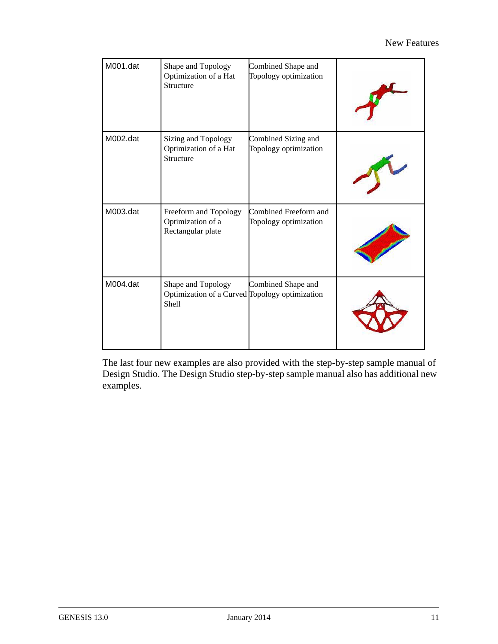| M001.dat | Shape and Topology<br>Optimization of a Hat<br>Structure                      | Combined Shape and<br>Topology optimization    |  |
|----------|-------------------------------------------------------------------------------|------------------------------------------------|--|
| M002.dat | Sizing and Topology<br>Optimization of a Hat<br>Structure                     | Combined Sizing and<br>Topology optimization   |  |
| M003.dat | Freeform and Topology<br>Optimization of a<br>Rectangular plate               | Combined Freeform and<br>Topology optimization |  |
| M004.dat | Shape and Topology<br>Optimization of a Curved Topology optimization<br>Shell | Combined Shape and                             |  |

The last four new examples are also provided with the step-by-step sample manual of Design Studio. The Design Studio step-by-step sample manual also has additional new examples.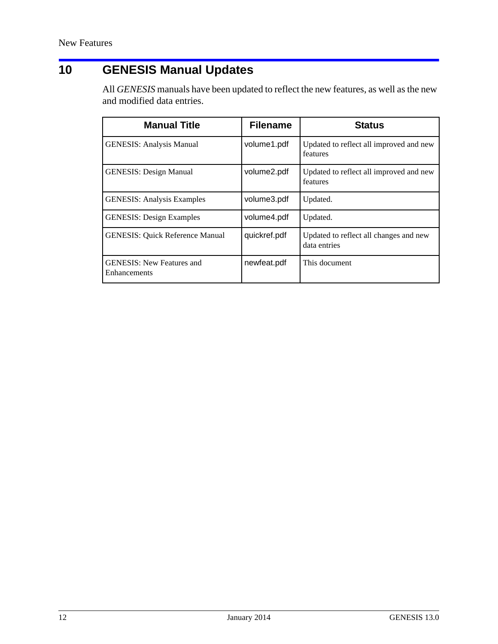# **10 GENESIS Manual Updates**

All *GENESIS* manuals have been updated to reflect the new features, as well as the new and modified data entries.

| <b>Manual Title</b>                              | <b>Filename</b> | <b>Status</b>                                          |
|--------------------------------------------------|-----------------|--------------------------------------------------------|
| <b>GENESIS: Analysis Manual</b>                  | volume1.pdf     | Updated to reflect all improved and new<br>features    |
| <b>GENESIS: Design Manual</b>                    | volume2.pdf     | Updated to reflect all improved and new<br>features    |
| <b>GENESIS: Analysis Examples</b>                | volume3.pdf     | Updated.                                               |
| <b>GENESIS: Design Examples</b>                  | volume4.pdf     | Updated.                                               |
| <b>GENESIS: Quick Reference Manual</b>           | quickref.pdf    | Updated to reflect all changes and new<br>data entries |
| <b>GENESIS: New Features and</b><br>Enhancements | newfeat.pdf     | This document                                          |